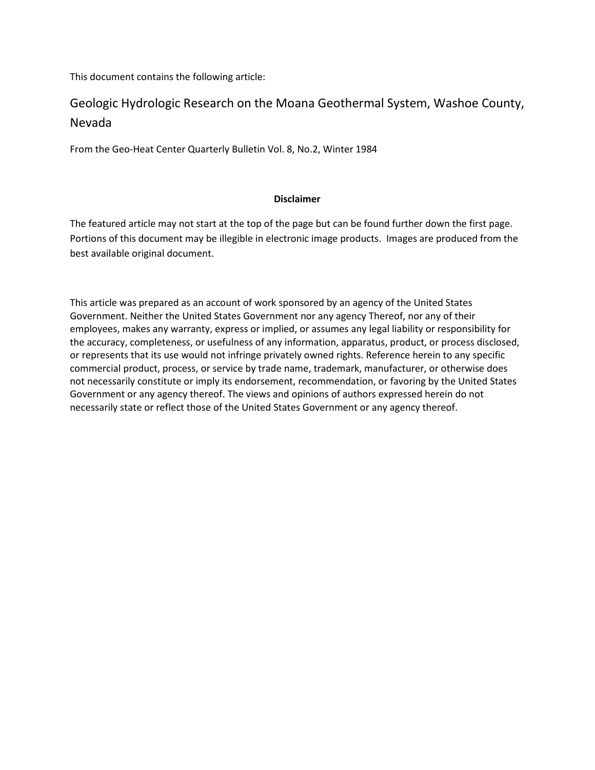This document contains the following article:

# Geologic Hydrologic Research on the Moana Geothermal System, Washoe County, Nevada

From the Geo-Heat Center Quarterly Bulletin Vol. 8, No.2, Winter 1984

## **Disclaimer**

The featured article may not start at the top of the page but can be found further down the first page. Portions of this document may be illegible in electronic image products. Images are produced from the best available original document.

This article was prepared as an account of work sponsored by an agency of the United States Government. Neither the United States Government nor any agency Thereof, nor any of their employees, makes any warranty, express or implied, or assumes any legal liability or responsibility for the accuracy, completeness, or usefulness of any information, apparatus, product, or process disclosed, or represents that its use would not infringe privately owned rights. Reference herein to any specific commercial product, process, or service by trade name, trademark, manufacturer, or otherwise does not necessarily constitute or imply its endorsement, recommendation, or favoring by the United States Government or any agency thereof. The views and opinions of authors expressed herein do not necessarily state or reflect those of the United States Government or any agency thereof.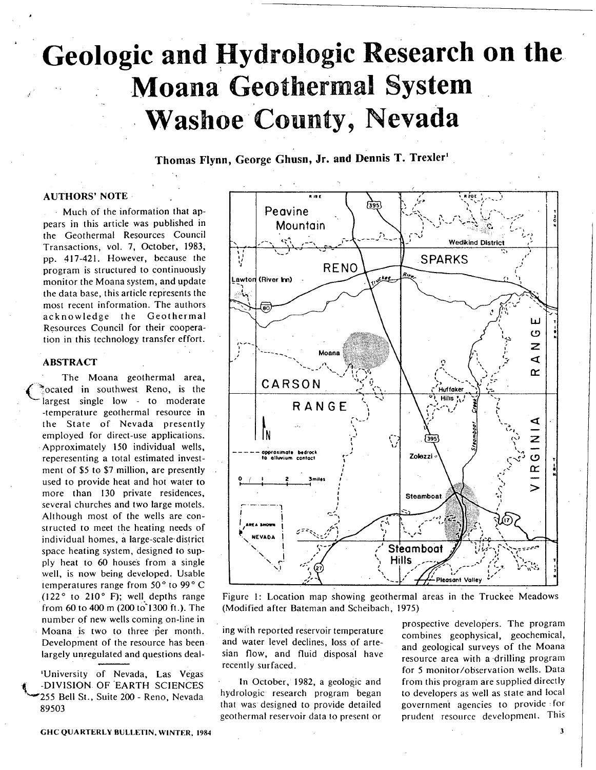# Geologic and Hydrologic Research on the **Moana Geothermal System Washoe County, Nevada**

Thomas Flynn, George Ghusn, Jr. and Dennis T. Trexler1

### **AUTHORS' NOTE**

Much of the information that appears in this article was published in the Geothermal Resources Council Transactions, vol. 7, October, 1983, pp. 417-421. However, because the program is structured to continuously monitor the Moana system, and update the data base, this article represents the most recent information. The authors acknowledge the Geothermal Resources Council for their cooperation in this technology transfer effort.

#### **ABSTRACT**

The Moana geothermal area, cated in southwest Reno, is the largest single low - to moderate -temperature geothermal resource in the State of Nevada presently employed for direct-use applications. Approximately 150 individual wells, reperesenting a total estimated investment of \$5 to \$7 million, are presently used to provide heat and hot water to more than 130 private residences, several churches and two large motels. Although most of the wells are constructed to meet the heating needs of individual homes, a large-scale district space heating system, designed to supply heat to 60 houses from a single well, is now being developed. Usable temperatures range from 50° to 99° C  $(122<sup>o</sup>$  to  $210<sup>o</sup>$  F); well depths range from 60 to 400 m (200 to 1300 ft.). The number of new wells coming on-line in Moana is two to three per month. Development of the resource has been largely unregulated and questions deal-

'University of Nevada, Las Vegas -DIVISION OF EARTH SCIENCES 255 Bell St., Suite 200 - Reno, Nevada 89503

Peavine Mountain **Wedikind District SPARKS** RENO **Lekee** Lawton (River Inn) ш O Z Moana 4 œ CARSON **Huffaker Hilis** RANGE IN Z Ÿ —<br>ပ Ipproximate bedrocl Zolezzi Œ **Steamboat** Steamboat **Hills Pleasant Valley** 

Figure 1: Location map showing geothermal areas in the Truckee Meadows (Modified after Bateman and Scheibach, 1975).

ing with reported reservoir temperature and water level declines, loss of artesian flow, and fluid disposal have recently surfaced.

In October, 1982, a geologic and hydrologic research program began that was designed to provide detailed geothermal reservoir data to present or

prospective developers. The program combines geophysical, geochemical, and geological surveys of the Moana resource area with a drilling program for 5 monitor/observation wells. Data from this program are supplied directly to developers as well as state and local government agencies to provide: for prudent resource development. This

**GHC QUARTERLY BULLETIN, WINTER, 1984** 

 $\overline{\mathbf{3}}$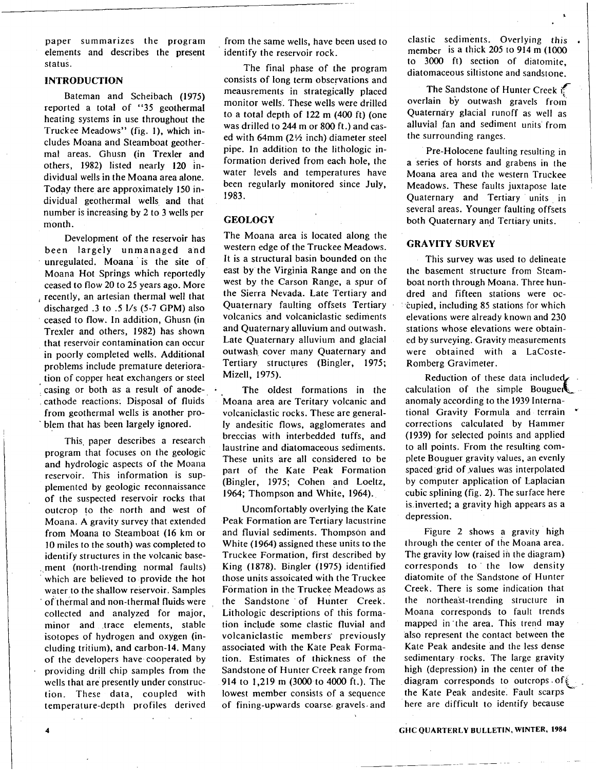paper summarizes the program elements and describes the present status.

#### **INTRODUCTION**

Bateman and Scheibach (1975) reported a total of "35 geothermal heating systems in use throughout the Truckee Meadows" (fig. 1), which includes Moana and Steamboat geothermal areas. Ghusn (in Trexler and others, 1982) listed nearly 120 individual wells in the Moana area alone. Today there are approximately 150 individual geothermal wells and that number is increasing by 2 to 3 wells per month.

Development of the reservoir has been largely unmanaged and unregulated. Moana is the site of Moana Hot Springs which reportedly ceased to flow 20 to 25 years ago. More recently, an artesian thermal well that discharged .3 to .5 1/s (5-7 GPM) also ceased to flow. In addition, Ghusn (in Trexler and others, 1982) has shown that reservoir contamination can occur in poorly completed wells. Additional problems include premature deterioration of copper heat exchangers or steel casing or both as a result of anodecathode reactions. Disposal of fluids from geothermal wells is another problem that has been largely ignored.

This, paper describes a research program that focuses on the geologic and hydrologic aspects of the Moana reservoir. This information is supplemented by geologic reconnaissance of the suspected reservoir rocks that outcrop to the north and west of Moana. A gravity survey that extended from Moana to Steamboat (16 km or 10 miles to the south) was completed to identify structures in the volcanic base- , ment (north-trending normal faults) which are believed to provide the hot water to the shallow reservoir. Samples of thermal and non-thermal fluids were collected and analyzed for major, minor and trace elements, stable isotopes of hydrogen and oxygen (including tritium), and carbon-14. Many of the developers have cooperated by providing drill chip samples from the wells that are presently under construction. These data, coupled with temperature-depth profiles derived from the same wells, have been used to identify the reservoir rock.

The final phase of the program consists of long term observations and meausrements in strategically placed monitor wells. These wells were drilled to a total depth of 122 m (400 ft) (one was drilled to 244 m or 800 ft.) and cased with 64mm ( $2\frac{1}{2}$  inch) diameter steel pipe. In addition to the lithologic information derived from each hole, the water levels and temperatures have been regularly monitored since July, 1983.

#### **GEOLOGY**

The Moana area is located along the western edge of the Truckee Meadows. It is a structural basin bounded on the east by the Virginia Range and on the west by the Carson Range, a spur of the Sierra Nevada. Late Tertiary and Quaternary faulting offsets Tertiary volcanics and volcaniclastic sediments and Quaternary alluvium and outwash. Late Quaternary alluvium and glacial outwash cover many Quaternary and Tertiary structures (Bingler, 1975; Mizell, 1975).

The oldest formations in the Moana area are Teritary volcanic and volcaniclastic rocks. These are generally andesitic flows, agglomerates and breccias with interbedded tuffs, and laustrine and diatomaceous sediments. These units are all considered to be part of the Kate Peak Formation (Bingler, 1975; Cohen and Loeltz, 1964; Thompson and White, 1964).

Uncomfortably overlying the Kate Peak Formation are Tertiary lacustrine and fluvial sediments. Thompson and White (1964) assigned these units to the Truckee Formation, first described by King (1878). Bingler (1975) identified those units assoicated with the Truckee Formation in the Truckee Meadows as the Sandstone of Hunter Creek. Lithologic descriptions of this formation include some clastic fluvial and volcaniclastic members' previously associated with the Kate Peak Formation. Estimates of thickness of the Sandstone of Hunter Creek range from 914 to 1,219 m (3000 to 4000 ft.). The lowest member consists of a sequence of fining-upwards coarse, gravels, and

clastic sediments. Overlying this member is a thick 205 to 914 m (1000) to 3000 ft) section of diatomite, diatomaceous siltistone and sandstone.

The Sandstone of Hunter Creek ( overlain bY outwash gravels from Quaternary glacial runoff as well as alluvial fan and sediment units from the surrounding ranges.

Pre-Holocene faulting resulting in a series of horsts and grabens in the Moana area and the western Truckee Meadows. These faults juxtapose late Quaternary and Tertiary units in several areas. Younger faulting offsets both Quaternary and Tertiary units.

#### **GRAVITY SURVEY**

This survey was used to delineate the basement structure from Steamboat north through Moana. Three hundred and fifteen stations were oc *cupied, including 85 stations for which* elevations were already known and 230 stations whose elevations were obtained by surveying. Gravity measurements were obtained with a LaCoste-Romberg Gravimeter.

Reduction of these data included. calculation of the simple **Bouguek** anomaly according to the 1939 International Gravity Formula and terrain corrections calculated by Hammer (1939) for selected points and applied to all points. From the resulting complete Bouguer gravity values, an evenly spaced grid of values was interpolated by computer application of Laplacian cubic splining (fig. 2). The surface here is inverted; a gravity high appears as a depression.

Figure 2 shows a gravity high through the center of the Moana area. The gravity low (raised in the diagram) corresponds to ' the low density diatomite of the Sandstone of Hunter Creek. There is some indication that the northeast-trending structure in Moana corresponds to fault trends mapped in the area. This trend may also represent the contact between the Kate Peak andesite and the less dense sedimentary rocks. The large gravity high (depression) in the center of the diagram corresponds to outcrops of the Kate Peak andesite. Fault scarps here are difficult to identify because

4 GIIC QUARTERLY BULLETIN, WINTER, 1984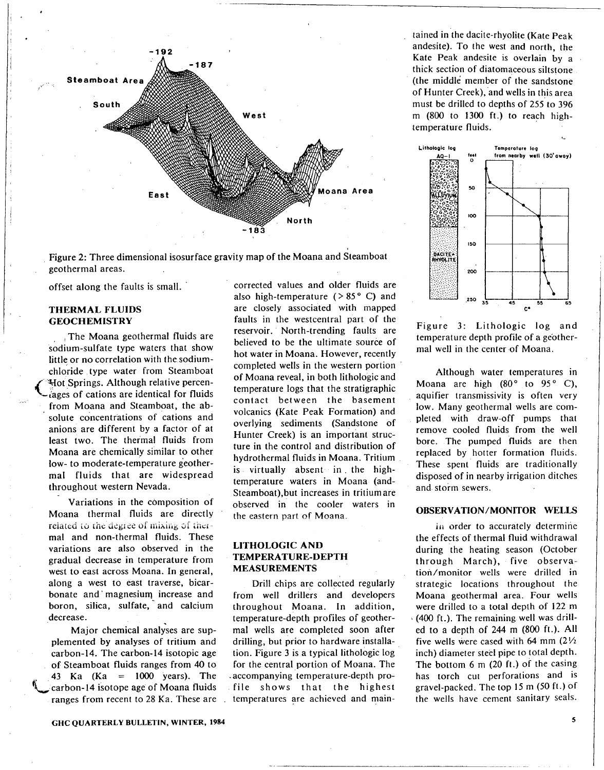

Figure 2: Three dimensional isosurface gravity map of the Moana and Steamboat geothermal areas.

offset along the faults is small.

#### **THERMAL FLUIDS GEOCHEMISTRY**

The Moana geothermal fluids are sodium-sulfate type waters that show little or no correlation with the sodiumchloride type water from Steamboat Hot Springs. Although relative percenlages of cations are identical for fluids from Moana and Steamboat, the absolute concentrations of cations and anions are different by a factor of at least two. The thermal fluids from Moana are chemically similar to other low- to moderate-temperature geothermal fluids that are widespread throughout western Nevada.

Variations in the composition of Moana thermal fluids are directly related to the degree of mixing of thermal and non-thermal fluids. These variations are also observed in the gradual decrease in temperature from west to east across Moana. In general, along a west to east traverse, bicarbonate and magnesium increase and boron, silica, sulfate, and calcium decrease.

Major chemical analyses are supplemented by analyses of tritium and carbon-14. The carbon-14 isotopic age of Steamboat fluids ranges from 40 to<br>43 Ka (Ka = 1000 years). The<br>technologie of Moone fluids carbon-14 isotope age of Moana fluids ranges from recent to 28 Ka. These are

corrected values and older fluids are also high-temperature  $( > 85<sup>o</sup> C)$  and are closely associated with mapped faults in the westcentral part of the reservoir. North-trending faults are believed to be the ultimate source of hot water in Moana. However, recently completed wells in the western portion of Moana reveal, in both lithologic and temperature logs that the stratigraphic contact between the basement volcanics (Kate Peak Formation) and overlying sediments (Sandstone of Hunter Creek) is an important structure in the control and distribution of hydrothermal fluids in Moana. Tritium is virtually absent in the hightemperature waters in Moana (and-Steamboat),but increases in tritium are observed in the cooler waters in the eastern part of Moana

#### **LITHOLOGIC AND TEMPERATURE-DEPTH MEASUREMENTS**

Drill chips are collected regularly from well drillers and developers throughout Moana. In addition, temperature-depth profiles of geothermal wells are completed soon after drilling, but prior to hardware installation. Figure 3 is a typical lithologic log for the central portion of Moana. The accompanying temperature-depth profile shows that the highest temperatures are achieved and main-

tained in the dacite-rhyolite (Kate Peak andesite). To the west and north, the Kate Peak andesite is overlain by a thick section of diatomaceous siltstone (the middle member of the sandstone of Hunter Creek), and wells in this area must be drilled to depths of 255 to 396 m (800 to 1300 ft.) to reach hightemperature fluids.



Figure 3: Lithologic log and temperature depth profile of a geothermal well in the center of Moana.

Although water temperatures in Moana are high (80° to 95° C), aquifier transmissivity is often very low. Many geothermal wells are completed with draw-off pumps that remove cooled fluids from the well bore. The pumped fluids are then replaced by hotter formation fluids. These spent fluids are traditionally disposed of in nearby irrigation ditches and storm sewers.

#### **OBSERVATION/MONITOR WELLS**

In order to accurately determine the effects of thermal fluid withdrawal during the heating season (October through March), five observation/monitor wells were drilled in strategic locations throughout the Moana geothermal area. Four wells were drilled to a total depth of 122 m  $(400 \text{ ft.})$ . The remaining well was drilled to a depth of 244 m (800 ft.). All five wells were cased with 64 mm  $(2\frac{1}{2})$ inch) diameter steel pipe to total depth. The bottom 6 m (20 ft.) of the casing has torch cut perforations and is gravel-packed. The top 15 m (50 ft.) of the wells have cement sanitary seals.